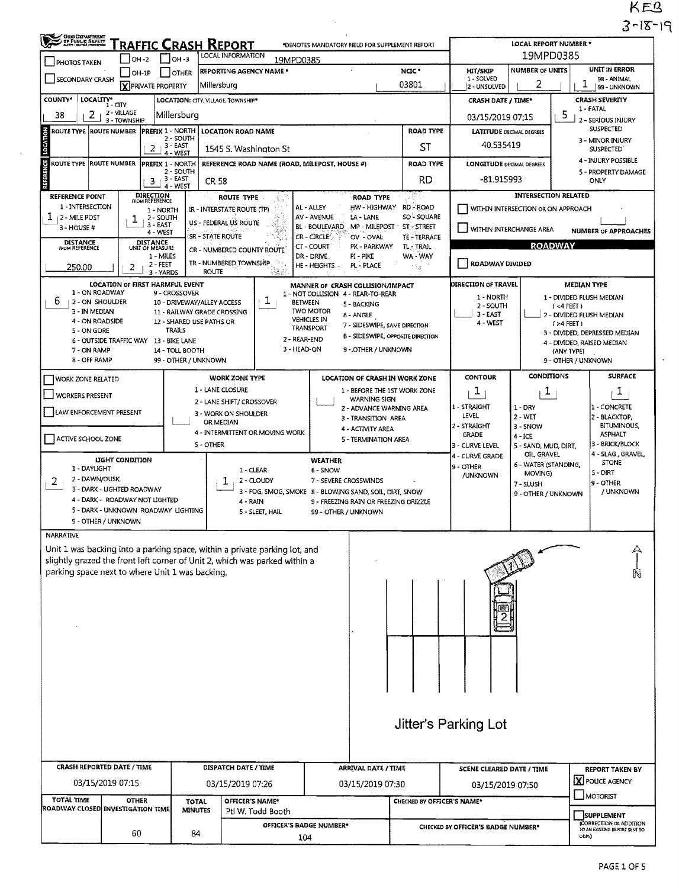KEB<br>3-18-19

| OHIO DEPARTMENT                                                                                                                 |                                                                                                                        | RAFFIC CRASH REPORT<br>LOCAL INFORMATION<br>OH-3                                                                                                                   | <b>LOCAL REPORT NUMBER *</b><br>19MPD0385                                                                                                                |                                                                                                                                                                                                            |                                                                                                  |                                 |                                                                            |                                                                     |                                                                                                                                           |                                                                                                                     |  |  |
|---------------------------------------------------------------------------------------------------------------------------------|------------------------------------------------------------------------------------------------------------------------|--------------------------------------------------------------------------------------------------------------------------------------------------------------------|----------------------------------------------------------------------------------------------------------------------------------------------------------|------------------------------------------------------------------------------------------------------------------------------------------------------------------------------------------------------------|--------------------------------------------------------------------------------------------------|---------------------------------|----------------------------------------------------------------------------|---------------------------------------------------------------------|-------------------------------------------------------------------------------------------------------------------------------------------|---------------------------------------------------------------------------------------------------------------------|--|--|
| <b>PHOTOS TAKEN</b>                                                                                                             | $IOH -2$                                                                                                               |                                                                                                                                                                    |                                                                                                                                                          |                                                                                                                                                                                                            | UNIT IN ERROR                                                                                    |                                 |                                                                            |                                                                     |                                                                                                                                           |                                                                                                                     |  |  |
| SECONDARY CRASH                                                                                                                 | $ OH-1P$<br>X PRIVATE PROPERTY                                                                                         | OTHER                                                                                                                                                              | <b>REPORTING AGENCY NAME *</b><br>Millersburg                                                                                                            |                                                                                                                                                                                                            |                                                                                                  | NCIC*<br>03801                  | <b>HIT/SKIP</b><br>1 - SOLVED<br>2 - UNSOLVED                              | <b>NUMBER OF UNITS</b><br>2                                         | 1                                                                                                                                         | 98 - ANIMAL<br>99 - UNKNOWN                                                                                         |  |  |
| <b>COUNTY*</b><br>LOCALITY*                                                                                                     | $1 - CITY$                                                                                                             |                                                                                                                                                                    | LOCATION: CITY, VILLAGE, TOWNSHIP*                                                                                                                       |                                                                                                                                                                                                            |                                                                                                  |                                 | <b>CRASH DATE / TIME*</b>                                                  |                                                                     |                                                                                                                                           | <b>CRASH SEVERITY</b>                                                                                               |  |  |
| 2<br>38                                                                                                                         | 2 - VILLAGE<br>3 - TOWNSHIP                                                                                            | Millersburg                                                                                                                                                        |                                                                                                                                                          |                                                                                                                                                                                                            |                                                                                                  |                                 | 03/15/2019 07:15                                                           |                                                                     | 5                                                                                                                                         | 1 - FATAL<br>2 - SERIOUS INJURY                                                                                     |  |  |
| ROUTE TYPE ROUTE NUMBER                                                                                                         |                                                                                                                        | PREFIX 1 - NORTH<br>$2 - SOLTH$                                                                                                                                    | <b>LOCATION ROAD NAME</b>                                                                                                                                |                                                                                                                                                                                                            |                                                                                                  | <b>ROAD TYPE</b>                | <b>LATITUDE DECIMAL DEGREES</b>                                            |                                                                     |                                                                                                                                           | <b>SUSPECTED</b><br>3 - MINOR INJURY                                                                                |  |  |
|                                                                                                                                 | 2                                                                                                                      | 3 - EAST<br>4 - WEST                                                                                                                                               | 1545 S. Washington St                                                                                                                                    |                                                                                                                                                                                                            |                                                                                                  | ST                              | 40.535419                                                                  |                                                                     |                                                                                                                                           | <b>SUSPECTED</b><br>4 - INJURY POSSIBLE                                                                             |  |  |
| <b>ROUTE TYPE ROUTE NUMBER</b>                                                                                                  | 3                                                                                                                      | PREFIX 1 - NORTH<br>2 - SOUTH<br>$3 - EAST$<br>4 - WEST                                                                                                            | REFERENCE ROAD NAME (ROAD, MILEPOST, HOUSE #)<br>CR 58                                                                                                   |                                                                                                                                                                                                            |                                                                                                  | <b>ROAD TYPE</b><br><b>RD</b>   | <b>LONGITUDE DECIMAL DEGREES</b><br>-81.915993                             |                                                                     |                                                                                                                                           | 5 - PROPERTY DAMAGE<br>ONLY                                                                                         |  |  |
| <b>REFERENCE POINT</b><br>1 - INTERSECTION                                                                                      | DIRECTION<br>FROM REFERENCE                                                                                            |                                                                                                                                                                    | ROUTE TYPE                                                                                                                                               |                                                                                                                                                                                                            | ROAD TYPE                                                                                        |                                 |                                                                            |                                                                     | <b>INTERSECTION RELATED</b>                                                                                                               |                                                                                                                     |  |  |
| ı<br>12 - MILE POST                                                                                                             | 1 - NORTH<br>2 - SOUTH<br>ı<br>3 - EAST                                                                                |                                                                                                                                                                    | IR - INTERSTATE ROUTE (TP)<br>US - FEDERAL US ROUTE                                                                                                      | AL - ALLEY<br><b>AV - AVENUE</b><br>BL - BOULEVARD                                                                                                                                                         | .HW - HIGHWAY<br>LA - LANE<br>MP - MILEPOST - ST - STREET                                        | <b>RD - ROAD</b><br>SO - SOUARE | WITHIN INTERSECTION OR ON APPROACH                                         |                                                                     |                                                                                                                                           |                                                                                                                     |  |  |
| 3 - HOUSE #<br><b>DISTANCE</b>                                                                                                  | 4 - WEST                                                                                                               | SR - STATE ROUTE                                                                                                                                                   | TE - TERRACE                                                                                                                                             | WITHIN INTERCHANGE AREA<br><b>NUMBER OF APPROACHES</b>                                                                                                                                                     |                                                                                                  |                                 |                                                                            |                                                                     |                                                                                                                                           |                                                                                                                     |  |  |
| FROM REFERENCE                                                                                                                  | DISTANCE<br>UNIT OF MEASURE<br>1 - MILES                                                                               |                                                                                                                                                                    | CR - NUMBERED COUNTY ROUTE                                                                                                                               | CT - COURT<br>DR - DRIVE                                                                                                                                                                                   | PK - PARKWAY<br>PI - PIKE                                                                        | TL-TRAIL<br>WA - WAY            |                                                                            |                                                                     | <b>ROADWAY</b>                                                                                                                            |                                                                                                                     |  |  |
| 250.00                                                                                                                          | 2 - FEET<br>2                                                                                                          | 3 - YARDS                                                                                                                                                          | TR - NUMBERED TOWNSHIP<br><b>ROUTE</b>                                                                                                                   | HE - HEIGHTS.                                                                                                                                                                                              | PL - PLACE                                                                                       | ١g.                             | ROADWAY DIVIDED                                                            |                                                                     |                                                                                                                                           |                                                                                                                     |  |  |
| 1 - ON ROADWAY<br>b<br>2 - ON SHOULDER<br>3 - IN MEDIAN<br>4 - ON ROADSIDE<br>5 - ON GORE<br>7 - ON RAMP<br><b>8 - OFF RAMP</b> | LOCATION OF FIRST HARMFUL EVENT<br>6 - OUTSIDE TRAFFIC WAY 13 - BIKE LANE                                              | 9 - CROSSOVER<br>10 - DRIVEWAY/ALLEY ACCESS<br>11 - RAILWAY GRADE CROSSING<br>12 - SHARED USE PATHS OR<br><b>TRAILS</b><br>14 - TOLL BOOTH<br>99 - OTHER / UNKNOWN | ı                                                                                                                                                        | MANNER OF CRASH COLLISION/IMPACT<br>1 - NOT COLLISION 4 - REAR-TO-REAR<br><b>BETWEEN</b><br>5 - BACKING<br><b>TWO MOTOR</b><br>6 - ANGLE<br><b>VEHICLES IN</b><br>TRANSPORT<br>2 - REAR-END<br>3 - HEAD-ON | 7 - SIDESWIPE, SAME DIRECTION<br><b>B - SIDESWIPE, OPPOSITE DIRECTION</b><br>9 - OTHER / UNKNOWN |                                 | <b>DIRECTION OF TRAVEL</b><br>1 - NORTH<br>2 - SOUTH<br>3 - EAST<br>4 WEST |                                                                     | <b>MEDIAN TYPE</b><br>$(4$ FEET)<br>$(24$ FEET)<br>(ANY TYPE)<br>9 - OTHER / UNKNOWN                                                      | 1 - DIVIDED FLUSH MEDIAN<br>2 - DIVIDED FLUSH MEDIAN<br>3 - DIVIDED, DEPRESSED MEDIAN<br>4 - DIVIDED, RAISED MEDIAN |  |  |
| WORK ZONE RELATED                                                                                                               |                                                                                                                        |                                                                                                                                                                    | <b>WORK ZONE TYPE</b>                                                                                                                                    |                                                                                                                                                                                                            | LOCATION OF CRASH IN WORK ZONE                                                                   |                                 | <b>CONTOUR</b>                                                             | <b>CONDITIONS</b>                                                   |                                                                                                                                           | <b>SURFACE</b>                                                                                                      |  |  |
| <b>WORKERS PRESENT</b>                                                                                                          |                                                                                                                        |                                                                                                                                                                    | 1 - LANE CLOSURE<br>2 - LANE SHIFT/ CROSSOVER                                                                                                            |                                                                                                                                                                                                            | 1 - BEFORE THE 1ST WORK ZONE<br><b>WARNING SIGN</b>                                              |                                 | 1                                                                          | $\mathbf{I}$                                                        |                                                                                                                                           | ı                                                                                                                   |  |  |
| LAW ENFORCEMENT PRESENT                                                                                                         |                                                                                                                        |                                                                                                                                                                    | 3 - WORK ON SHOULDER<br>OR MEDIAN                                                                                                                        |                                                                                                                                                                                                            | 2 - ADVANCE WARNING AREA<br>3 - TRANSITION AREA                                                  |                                 | 1 - STRAIGHT<br>LEVEL                                                      | $1 - DRY$<br>$2 - WET$                                              |                                                                                                                                           | 1 - CONCRETE<br>2 - BLACKTOP,                                                                                       |  |  |
| ACTIVE SCHOOL ZONE                                                                                                              |                                                                                                                        |                                                                                                                                                                    | 4 - INTERMITTENT OR MOVING WORK<br>5 - OTHER                                                                                                             |                                                                                                                                                                                                            | 4 - ACTIVITY AREA<br>5 - TERMINATION AREA                                                        |                                 | 2 - STRAIGHT<br><b>GRADE</b><br>3 - CURVE LEVEL                            | 3 - SNOW<br>$4 - ICE$<br>5 - SAND, MUD, DIRT,                       | BITUMINOUS,<br><b>ASPHALT</b><br>3 - BRICK/BLOCK<br>OIL GRAVEL<br>4 - SLAG, GRAVEL,<br><b>STONE</b><br>5 - DIRT<br>9 - OTHER<br>/ UNKNOWN |                                                                                                                     |  |  |
| 1 - DAYLIGHT<br>2 - DAWN/DUSK<br>2<br>9 - OTHER / UNKNOWN                                                                       | LIGHT CONDITION<br>3 - DARK - LIGHTED ROADWAY<br>4 - DARK - ROADWAY NOT LIGHTED<br>5 - DARK - UNKNOWN ROADWAY LIGHTING |                                                                                                                                                                    | 1 - CLEAR<br>2 - CLOUDY<br>4 - RAIN<br>5 - SLEET, HAIL                                                                                                   | <b>WEATHER</b><br>6 - SNOW<br>7 - SEVERE CROSSWINDS<br>3 - FOG, SMOG, SMOKE 8 - BLOWING SAND, SOIL, DIRT, SNOW<br>9 - FREEZING RAIN OR FREEZING DRIZZLE<br>99 - OTHER / UNKNOWN                            |                                                                                                  |                                 | 9 - OTHER<br>/UNKNOWN                                                      | 6 - WATER (STANDING,<br>MOVING)<br>7 - SLUSH<br>9 - OTHER / UNKNOWN |                                                                                                                                           |                                                                                                                     |  |  |
| <b>NARRATIVE</b>                                                                                                                |                                                                                                                        |                                                                                                                                                                    |                                                                                                                                                          |                                                                                                                                                                                                            |                                                                                                  |                                 |                                                                            |                                                                     |                                                                                                                                           |                                                                                                                     |  |  |
| parking space next to where Unit 1 was backing.                                                                                 |                                                                                                                        |                                                                                                                                                                    | Unit 1 was backing into a parking space, within a private parking lot, and<br>slightly grazed the front left corner of Unit 2, which was parked within a |                                                                                                                                                                                                            |                                                                                                  |                                 |                                                                            |                                                                     |                                                                                                                                           |                                                                                                                     |  |  |
|                                                                                                                                 |                                                                                                                        |                                                                                                                                                                    |                                                                                                                                                          |                                                                                                                                                                                                            |                                                                                                  |                                 |                                                                            |                                                                     |                                                                                                                                           |                                                                                                                     |  |  |
|                                                                                                                                 |                                                                                                                        |                                                                                                                                                                    |                                                                                                                                                          |                                                                                                                                                                                                            |                                                                                                  |                                 |                                                                            |                                                                     |                                                                                                                                           |                                                                                                                     |  |  |
|                                                                                                                                 |                                                                                                                        |                                                                                                                                                                    |                                                                                                                                                          |                                                                                                                                                                                                            |                                                                                                  |                                 |                                                                            |                                                                     |                                                                                                                                           |                                                                                                                     |  |  |
|                                                                                                                                 |                                                                                                                        |                                                                                                                                                                    |                                                                                                                                                          |                                                                                                                                                                                                            |                                                                                                  |                                 | Jitter's Parking Lot                                                       |                                                                     |                                                                                                                                           |                                                                                                                     |  |  |
|                                                                                                                                 |                                                                                                                        |                                                                                                                                                                    |                                                                                                                                                          |                                                                                                                                                                                                            |                                                                                                  |                                 |                                                                            |                                                                     |                                                                                                                                           |                                                                                                                     |  |  |
| CRASH REPORTED DATE / TIME<br>DISPATCH DATE / TIME                                                                              |                                                                                                                        |                                                                                                                                                                    |                                                                                                                                                          |                                                                                                                                                                                                            | <b>ARRIVAL DATE / TIME</b>                                                                       |                                 | <b>SCENE CLEARED DATE / TIME</b>                                           |                                                                     |                                                                                                                                           | <b>REPORT TAKEN BY</b>                                                                                              |  |  |
|                                                                                                                                 | 03/15/2019 07:15<br>03/15/2019 07:26                                                                                   |                                                                                                                                                                    |                                                                                                                                                          |                                                                                                                                                                                                            | 03/15/2019 07:30                                                                                 | 03/15/2019 07:50                |                                                                            |                                                                     | X POLICE AGENCY<br>MOTORIST                                                                                                               |                                                                                                                     |  |  |
|                                                                                                                                 |                                                                                                                        |                                                                                                                                                                    |                                                                                                                                                          |                                                                                                                                                                                                            |                                                                                                  |                                 |                                                                            |                                                                     |                                                                                                                                           |                                                                                                                     |  |  |
| <b>TOTAL TIME</b><br><b>ROADWAY CLOSED INVESTIGATION TIME</b>                                                                   | <b>OTHER</b>                                                                                                           | <b>TOTAL</b><br><b>MINUTES</b>                                                                                                                                     | OFFICER'S NAME*<br>Ptl W. Todd Booth                                                                                                                     |                                                                                                                                                                                                            |                                                                                                  | CHECKED BY OFFICER'S NAME*      |                                                                            |                                                                     |                                                                                                                                           | SUPPLEMENT<br>(CORRECTION OR ADDITION                                                                               |  |  |

 $\sim$ 

 $\sim$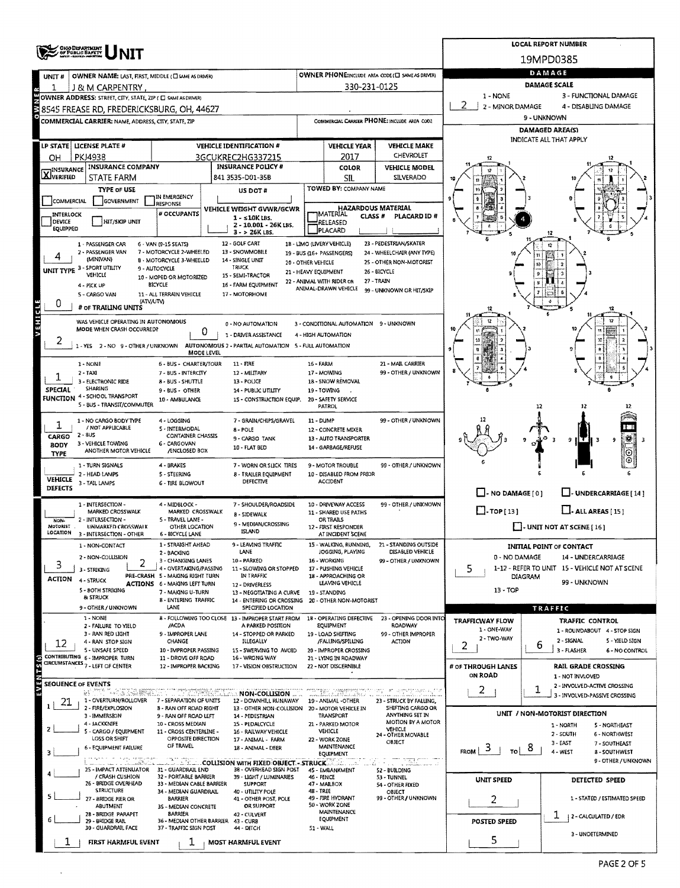|                                      |                                                              |                                                                        | <b>LOCAL REPORT NUMBER</b>                                                                                 |                      |                                                             |                                                                                            |                                            |                                                                    |   |  |  |  |  |  |
|--------------------------------------|--------------------------------------------------------------|------------------------------------------------------------------------|------------------------------------------------------------------------------------------------------------|----------------------|-------------------------------------------------------------|--------------------------------------------------------------------------------------------|--------------------------------------------|--------------------------------------------------------------------|---|--|--|--|--|--|
|                                      | OHJO DEPARTMENT<br>/ OF PUBLIC BAFETY<br>  MEET-BEERS-PRESSE |                                                                        |                                                                                                            |                      |                                                             |                                                                                            |                                            | 19MPD0385                                                          |   |  |  |  |  |  |
| UNIT#                                | OWNER NAME: LAST, FIRST, MIDDLE (C) SAME AS DRIVER)          |                                                                        |                                                                                                            |                      |                                                             | OWNER PHONE:INCLUDE AREA CODE (E) SAME AS DRIVER)                                          | DAMAGE                                     |                                                                    |   |  |  |  |  |  |
|                                      | J & M CARPENTRY                                              |                                                                        |                                                                                                            |                      | 330-231-0125                                                |                                                                                            | DAMAGE SCALE                               |                                                                    |   |  |  |  |  |  |
|                                      | OWNER ADDRESS: STREET, CITY, STATE, ZIP ( C SAME AS DRIVER)  |                                                                        |                                                                                                            |                      |                                                             |                                                                                            | 1 - NONE                                   | 3 - FUNCTIONAL DAMAGE                                              |   |  |  |  |  |  |
|                                      | 88545 FREASE RD. FREDERICKSBURG. OH. 44627                   |                                                                        |                                                                                                            |                      |                                                             |                                                                                            | 2 - MINOR DAMAGE<br>4 - DISABLING DAMAGE   |                                                                    |   |  |  |  |  |  |
|                                      | COMMERCIAL CARRIER: NAME, ADDRESS, CITY, STATE, ZIP          |                                                                        |                                                                                                            |                      |                                                             | COMMERCIAL CARRIER PHONE: INCLUDE AREA CODE                                                | 9 - UNKNOWN                                |                                                                    |   |  |  |  |  |  |
|                                      |                                                              |                                                                        |                                                                                                            |                      |                                                             |                                                                                            | DAMAGED AREA(S)<br>INDICATE ALL THAT APPLY |                                                                    |   |  |  |  |  |  |
|                                      | LP STATE   LICENSE PLATE #                                   |                                                                        | <b>VEHICLE IDENTIFICATION #</b>                                                                            |                      | <b>VEHICLE YEAR</b>                                         | <b>VEHICLE MAKE</b>                                                                        |                                            |                                                                    |   |  |  |  |  |  |
| OН                                   | <b>PKJ4938</b>                                               |                                                                        | 3GCUKREC2HG337215                                                                                          |                      | 2017                                                        | CHEVROLET                                                                                  |                                            |                                                                    |   |  |  |  |  |  |
| <b>X</b> INSURANCE                   | <b>INSURANCE COMPANY</b><br>STATE FARM                       |                                                                        | <b>INSURANCE POLICY #</b><br>841 3535-D01-35B                                                              |                      | COLOR<br>SIL                                                | <b>VEHICLE MODEL</b><br>SILVERADO                                                          |                                            |                                                                    |   |  |  |  |  |  |
|                                      | <b>TYPE OF USE</b>                                           |                                                                        | US DOT #                                                                                                   |                      | TOWED BY: COMPANY NAME                                      |                                                                                            |                                            |                                                                    |   |  |  |  |  |  |
| COMMERCIAL                           | GOVERNMENT                                                   | IN EMERGENCY                                                           |                                                                                                            |                      |                                                             |                                                                                            |                                            |                                                                    |   |  |  |  |  |  |
| INTERLOCK                            |                                                              | RESPONSE<br># OCCUPANTS                                                | VEHICLE WEIGHT GVWR/GCWR                                                                                   |                      | <b>HAZARDOUS MATERIAL</b><br>MATERIAL<br>CLASS <sup>#</sup> | PLACARD ID#                                                                                |                                            |                                                                    |   |  |  |  |  |  |
| DEVICE<br>EQUIPPED                   | <b>HIT/SKIP UNIT</b>                                         |                                                                        | 1 - s10K LBS.<br>2 - 10.001 - 26K LBS.                                                                     |                      | RELEASED                                                    |                                                                                            |                                            |                                                                    |   |  |  |  |  |  |
|                                      |                                                              |                                                                        | $3 - 26K$ LBS.                                                                                             |                      | PLACARD                                                     |                                                                                            |                                            |                                                                    |   |  |  |  |  |  |
|                                      | 1 - PASSENGER CAR<br>2 - PASSENGER VAN                       | 6 - VAN (9-15 SEATS)<br>7 - MOTORCYCLE 2-WHEELED                       | 12 - GOLF CART<br>13 - SNOWMOBILE                                                                          |                      | 18 - LIMO (LIVERY VEHICLE)<br>19 - BUS (16+ PASSENGERS)     | 23 - PEDESTRIAN/SKATER<br>24 - WHEELCHAIR (ANY TYPE)                                       |                                            | 煌                                                                  |   |  |  |  |  |  |
|                                      | (MINIVAN)                                                    | <b>B - MOTORCYCLE 3-WHEELED</b>                                        | 14 - SINGLE UNIT                                                                                           | 20 - OTHER VEHICLE   |                                                             | 25 - OTHER NON-MOTORIST                                                                    |                                            |                                                                    |   |  |  |  |  |  |
|                                      | UNIT TYPE 3 - SPORT UTILITY<br>VEHICLE                       | 9 - AUTOCYCLE<br>10 - MOPED OR MOTORIZED                               | TRUCK<br>15 - SEMI-TRACTOR                                                                                 | 21 - HEAVY EQUIPMENT |                                                             | 26 - BICYCLE                                                                               |                                            |                                                                    |   |  |  |  |  |  |
|                                      | 4 - PICK UP                                                  | <b>BICYCLE</b>                                                         | 16 - FARM EQUIPMENT                                                                                        |                      | 22 - ANIMAL WITH RIDER OR<br>ANIMAL-DRAWN VEHICLE           | 27 - TRAIN<br>99 - UNKNOWN OR HIT/SKIP                                                     |                                            |                                                                    |   |  |  |  |  |  |
|                                      | 5 - CARGO VAN<br>(ATV/UTV)                                   | 11 - ALL TERRAIN VEHICLE                                               | 17 - MOTORHOME                                                                                             |                      |                                                             |                                                                                            |                                            |                                                                    |   |  |  |  |  |  |
| 0                                    | # OF TRAILING UNITS                                          |                                                                        |                                                                                                            |                      |                                                             |                                                                                            |                                            | 12                                                                 |   |  |  |  |  |  |
| VEHICLE                              | WAS VEHICLE OPERATING IN AUTONOMOUS                          |                                                                        | 0 - NO AUTOMATION                                                                                          |                      | 3 - CONDITIONAL AUTOMATION 9 - UNKNOWN                      |                                                                                            |                                            |                                                                    |   |  |  |  |  |  |
|                                      | MODE WHEN CRASH OCCURRED?                                    | 0                                                                      | 1 - DRIVER ASSISTANCE                                                                                      |                      | 4 - HIGH AUTOMATION                                         |                                                                                            |                                            |                                                                    |   |  |  |  |  |  |
|                                      | 1-YES 2-NO 9-OTHER/UNKNOWN                                   |                                                                        | AUTONOMOUS 2 - PARTIAL AUTOMATION 5 - FULL AUTOMATION                                                      |                      |                                                             |                                                                                            |                                            |                                                                    |   |  |  |  |  |  |
|                                      | 1 - NONE                                                     | <b>MODE LEVEL</b><br>6 - BUS - CHARTER/TOUR                            | $11 - FIRE$                                                                                                | <b>16 - FARM</b>     |                                                             | 21 - MAIL CARRIER                                                                          |                                            |                                                                    |   |  |  |  |  |  |
|                                      | $2 - TAXI$                                                   | 7 - BUS - INTERCITY                                                    | 12 - MILITARY                                                                                              |                      | 17 - MOWING                                                 | 99 - OTHER / UNKNOWN                                                                       |                                            |                                                                    |   |  |  |  |  |  |
|                                      | 3 - ELECTRONIC RIDE<br>SHARING                               | 8 - BUS - SHUTTLE                                                      | 13 - POLICE                                                                                                |                      | 18 - SNOW REMOVAL                                           |                                                                                            |                                            |                                                                    |   |  |  |  |  |  |
| SPECIAL<br>FUNCTION                  | 4 - SCHOOL TRANSPORT                                         | 9 - BUS - OTHER<br>10 - AMBULANCE                                      | 14 - PUBLIC UTILITY<br>15 - CONSTRUCTION EQUIP.                                                            |                      | 19 - TOWING<br>20 - SAFETY SERVICE                          |                                                                                            |                                            |                                                                    |   |  |  |  |  |  |
|                                      | 5 - BUS - TRANSIT/COMMUTER                                   |                                                                        |                                                                                                            |                      | <b>PATROL</b>                                               |                                                                                            |                                            | 12                                                                 |   |  |  |  |  |  |
| 1                                    | 1 - NO CARGO BODY TYPE                                       | 4 - LOGGING                                                            | 7 - GRAIN/CHIPS/GRAVEL                                                                                     | 11 - DUMP            |                                                             | 99 - OTHER / UNKNOWN                                                                       |                                            |                                                                    |   |  |  |  |  |  |
| <b>CARGO</b>                         | / NOT APPLICABLE<br>2 - 8US                                  | 5 - INTERMODAL<br>CONTAINER CHASSIS                                    | 8-POLE                                                                                                     |                      | 12 - CONCRETE MIXER                                         |                                                                                            |                                            |                                                                    |   |  |  |  |  |  |
| <b>BODY</b>                          | 3 - VEHICLE TOWING                                           | 6 - CARGOVAN<br><b>/ENCLOSED BOX</b>                                   | 9 - CARGO TANK<br>10 - FLAT BED                                                                            |                      | 13 - AUTO TRANSPORTER<br>14 - GARBAGE/REFUSE                |                                                                                            |                                            | 臡<br>9 H T<br>9                                                    | в |  |  |  |  |  |
| <b>TYPE</b>                          | ANOTHER MOTOR VEHICLE                                        |                                                                        |                                                                                                            |                      |                                                             |                                                                                            |                                            | ⊙<br>⊙                                                             |   |  |  |  |  |  |
|                                      | 1 - TURN SIGNALS<br>2 - HEAD LAMPS                           | 4 - BRAKES<br><b>5 - STEERING</b>                                      | 7 - WORN OR SLICK TIRES<br>8 - TRAILER EQUIPMENT                                                           |                      | 9 - MOTOR TROUBLE<br>10 - DISABLED FROM PRIOR               | 99 - OTHER / UNKNOWN                                                                       |                                            |                                                                    |   |  |  |  |  |  |
| <b>VEHICLE</b><br><b>DEFECTS</b>     | 3 - TAIL LAMPS                                               | 6 - TIRE BLOWOUT                                                       | DEFECTIVE                                                                                                  |                      | ACCIDENT                                                    |                                                                                            |                                            |                                                                    |   |  |  |  |  |  |
|                                      |                                                              |                                                                        |                                                                                                            |                      |                                                             |                                                                                            | $\Box$ - NO DAMAGE [ 0 ]                   | $\Box$ - UNDERCARRIAGE [14]                                        |   |  |  |  |  |  |
|                                      | 1 - INTERSECTION -<br>MARKED CROSSWALK                       | 4 - MIDBLOCK -<br>MARKED CROSSWALK                                     | 7 - SHOULDER/ROADSIDE                                                                                      |                      | 10 - DRIVEWAY ACCESS<br>11 - SHARED USE PATHS               | 99 - OTHER / UNKNOWN                                                                       | $\Box$ -TOP[13]                            | $L$ - ALL AREAS [ 15 ]                                             |   |  |  |  |  |  |
| NON-                                 | 2 - INTERSECTION -                                           | 5 - TRAVEL LANE -                                                      | <b>B - SIDEWALK</b><br>9 - MEDIAN/CROSSING                                                                 |                      | OR TRAILS                                                   |                                                                                            |                                            |                                                                    |   |  |  |  |  |  |
| <b>MOTORIST</b><br>LOCATION          | UNMARKED CROSSWALK<br>3 - INTERSECTION - OTHER               | OTHER LOCATION<br>6 - BICYCLE LANE                                     | <b>ISLAND</b>                                                                                              |                      | 12 - FIRST RESPONDER<br>AT INCIDENT SCENE                   |                                                                                            |                                            | $\Box$ - UNIT NOT AT SCENE [16]                                    |   |  |  |  |  |  |
|                                      | 1 - NON-CONTACT                                              | 1 - STRAIGHT AHEAD                                                     | 9 - LEAVING TRAFFIC                                                                                        |                      | 15 - WALKING, RUNNING,                                      | 21 - STANDING OUTSIDE                                                                      |                                            | <b>INITIAL POINT OF CONTACT</b>                                    |   |  |  |  |  |  |
|                                      | 2 - NON-COLLISION                                            | 2 - BACKING<br>3 - CHANGING LANES                                      | LANE<br>10 - PARKED                                                                                        |                      | JOGGING, PLAYING<br>16 - WORKING                            | DISABLED VEHICLE<br>99 - OTHER / UNKNOWN                                                   | 0 - NO DAMAGE                              | 14 - UNDERCARRIAGE                                                 |   |  |  |  |  |  |
| 3                                    | 2<br>3 - STRIKING                                            | 4 - OVERTAKING/PASSING                                                 | 11 - SLOWING OR STOPPED<br>IN TRAFFIC                                                                      |                      | 17 - PUSHING VEHICLE                                        |                                                                                            | 5                                          | 1-12 - REFER TO UNIT 15 - VEHICLE NOT AT SCENE                     |   |  |  |  |  |  |
| <b>ACTION</b>                        | 4 - STRUCK                                                   | PRE-CRASH 5 - MAKING RIGHT TURN<br><b>ACTIONS 6 - MAKING LEFT TURN</b> | 12 - DRIVERLESS                                                                                            |                      | 18 - APPROACHING OR<br>LEAVING VEHICLE                      |                                                                                            |                                            | <b>DIAGRAM</b><br>99 - UNKNOWN                                     |   |  |  |  |  |  |
|                                      | 5 - 80TH STRIKING<br>& STRUCK                                | 7 - MAKING U-TURN<br>8 - ENTERING TRAFFIC                              | 13 - NEGOTIATING A CURVE<br>14 - ENTERING OR CROSSING                                                      |                      | 19 - STANDING<br>28 - OTHER NON-MOTORIST                    |                                                                                            | $13 - TOP$                                 |                                                                    |   |  |  |  |  |  |
|                                      | 9 - OTHER / UNKNOWN                                          | LANE                                                                   | SPECIFIED LOCATION                                                                                         |                      |                                                             |                                                                                            |                                            | TRAFFIC                                                            |   |  |  |  |  |  |
|                                      | 1 NONE                                                       | /ACDA                                                                  | 8 - FOLLOWING TOO CLOSE 13 - IMPROPER START FROM<br>A PARKED POSITION                                      |                      | 18 - OPERATING DEFECTIVE<br>EQUIPMENT                       | 23 - OPENING DOOR INTO<br><b>ROADWAY</b>                                                   | <b>TRAFFICWAY FLOW</b>                     | TRAFFIC CONTROL                                                    |   |  |  |  |  |  |
|                                      | 2 - FAILURE TO YIELD<br>3 - RAN RED LIGHT                    | 9 - IMPROPER LANE                                                      | 14 - STOPPED OR PARKED                                                                                     |                      | 19 - LOAD SHIFTING                                          | 99 - OTHER IMPROPER                                                                        | 1 - ONE-WAY<br>2 - TWO-WAY                 | 1 - ROUNDABOUT 4 - STOP SIGN                                       |   |  |  |  |  |  |
| 12                                   | 4 - RAN STOP SIGN<br>5 - UNSAFE SPEED                        | CHANGE<br>10 - IMPROPER PASSING                                        | ILLEGALLY<br>15 - SWERVING TO AVOID                                                                        |                      | /FALLING/SPILLING<br>20 - IMPROPER CROSSING                 | <b>ACTION</b>                                                                              | 2                                          | 2 - SIGNAL<br>5 - YIELD SIGN<br>ь<br>3 - FLASHER<br>6 - NO CONTROL |   |  |  |  |  |  |
|                                      | CONTRIBUTING 6 - IMPROPER TURN                               | 11 - DROVE OFF ROAD                                                    | 16 - WRONG WAY                                                                                             |                      | 21 - LYING IN ROADWAY                                       |                                                                                            |                                            |                                                                    |   |  |  |  |  |  |
|                                      | <b>CIRCUMSTANCES 7 - LEFT OF CENTER</b>                      | 12 - IMPROPER BACKING                                                  | 17 - VISION OBSTRUCTION                                                                                    |                      | 22 - NOT DISCERNIBLE                                        |                                                                                            | # OF THROUGH LANES<br><b>ON ROAD</b>       | <b>RAIL GRADE CROSSING</b>                                         |   |  |  |  |  |  |
| EVENTSG<br><b>SEOUENCE OF EVENTS</b> |                                                              |                                                                        |                                                                                                            |                      |                                                             |                                                                                            |                                            | 1 - NOT INVLOVED<br>2 - INVOLVED-ACTIVE CROSSING                   |   |  |  |  |  |  |
|                                      |                                                              |                                                                        | <b>RUNN WAS RESERVED TO A STRAIGHT AND A COLLEGY TO</b>                                                    |                      |                                                             | nggo naggiyaan meno qay siir samete qabuu toon<br>Siira Baddalaad meno siirka siirka sabab | 2                                          | 1<br>3 - INVOLVED-PASSIVE CROSSING                                 |   |  |  |  |  |  |
| 21                                   | 1 - OVERTURN/ROLLOVER<br>2 - FIRE/EXPLOSION                  | 7 - SEPARATION OF UNITS<br><b>8 - RAN OFF ROAD RIGHT</b>               | 12 - DOWNHILL RUNAWAY<br>13 - OTHER NON-COLLISION 20 - MOTOR VEHICLE IN                                    |                      | 19 - ANIMAL -OTHER                                          | 23 - STRUCK BY FALLING,<br>SHIFTING CARGO OR                                               |                                            |                                                                    |   |  |  |  |  |  |
|                                      | 3 - IMMERSION<br>4 - JACKKNIFE                               | 9 - RAN OFF ROAD LEFT<br>10 - CROSS MEDIAN                             | 14 - PEDESTRIAN<br>15 - PEDALCYCLE                                                                         |                      | TRANSPORT<br>21 - PARKED MOTOR                              | ANYTHING SET IN<br>MOTION BY A MOTOR                                                       |                                            | UNIT / NON-MOTORIST DIRECTION                                      |   |  |  |  |  |  |
|                                      | 5 - CARGO / EQUIPMENT                                        | 11 - CROSS CENTERLINE -                                                | 16 - RAILWAY VEHICLE                                                                                       |                      | VEHICLE                                                     | VEHICLE<br>24 - OTHER MOVABLE                                                              |                                            | 1 - NORTH<br>5 - NORTHEAST<br>2 - SOUTH<br>6 - NORTHWEST           |   |  |  |  |  |  |
|                                      | LOSS OR SHIFT<br>6 - EQUIPMENT FAILURE                       | OPPOSITE DIRECTION<br>OF TRAVEL                                        | 17 - ANIMAL - FARM<br>18 - ANIMAL - DEER                                                                   |                      | 22 - WORK ZONE<br>MAINTENANCE                               | OBJECT                                                                                     |                                            | 3 - EAST<br>7 - SOUTHEAST<br>୪                                     |   |  |  |  |  |  |
|                                      | and registers are as in the galaxy in growing pressure       | in my thin                                                             |                                                                                                            |                      | EQUIPMENT                                                   | a <del>mang</del> rota                                                                     | $F_{ROM}$ 3<br>Tol                         | 4 - WEST<br>8 - SOUTHWEST<br>9 - OTHER / UNKNOWN                   |   |  |  |  |  |  |
|                                      | 25 - IMPACT ATTENUATOR 31 - GUARDRAIL END                    |                                                                        | <b>MARKED OBJECT - STRUCK AND STRUCK AND ARRIVER MARKED OBJECT - STRUCK AND</b><br>38 - OVERHEAD SIGN POST |                      | 884 i 1122<br>45 - EMBANKMENT                               | 52 - BUILDING                                                                              |                                            |                                                                    |   |  |  |  |  |  |
|                                      | / CRASH CUSHION<br>26 - BRIDGE OVERHEAD                      | 32 - PORTABLE BARRIER<br>33 - MEDIAN CABLE BARRIER                     | 39 - LIGHT / LUMINARIES<br><b>SUPPORT</b>                                                                  | 46 - FENCE           | 47 - MAILBOX                                                | 53 - TUNNEL<br>54 - OTHER FIXED                                                            | <b>UNIT SPEED</b>                          | DETECTED SPEED                                                     |   |  |  |  |  |  |
| 5                                    | <b>STRUCTURE</b>                                             | 34 - MEDIAN GUARDRAIL<br>BARRIER                                       | 40 - UTILITY POLE                                                                                          | 48 - TREE            | 49 - FIRE HYDRANT                                           | <b>OBJECT</b><br>99 - OTHER / UNKNOWN                                                      |                                            | 1 - STATED / ESTIMATED SPEED                                       |   |  |  |  |  |  |
|                                      | 27 - BRIDGE PIER OR<br>ABUTMENT                              | 35 - MEDIAN CONCRETE                                                   | 41 - OTHER POST, POLE<br>OR SUPPORT                                                                        |                      | 50 - WORK ZONE                                              |                                                                                            | 2                                          |                                                                    |   |  |  |  |  |  |
| 6                                    | 28 - BRIDGE PARAPET<br>29 - BRIDGE RAIL                      | <b>BARRILR</b><br>36 - MEDIAN OTHER BARRIER 43 - CURB                  | 42 - CULVERT                                                                                               |                      | MAINTENANCE<br>EQUIPMENT                                    |                                                                                            | <b>POSTED SPEED</b>                        | T.<br>  2 - CALCULATED / EDR                                       |   |  |  |  |  |  |
|                                      | 30 - GUARDRAIL FACE                                          | 37 - TRAFFIC SIGN POST                                                 | 44 - DITCH                                                                                                 | 51 - WALL            |                                                             |                                                                                            |                                            | 3 - UNDETERMINED                                                   |   |  |  |  |  |  |
|                                      | FIRST HARMFUL EVENT                                          | $\mathbf{1}$                                                           | MOST HARMFUL EVENT                                                                                         |                      |                                                             |                                                                                            | 5                                          |                                                                    |   |  |  |  |  |  |

 $\bar{\star}$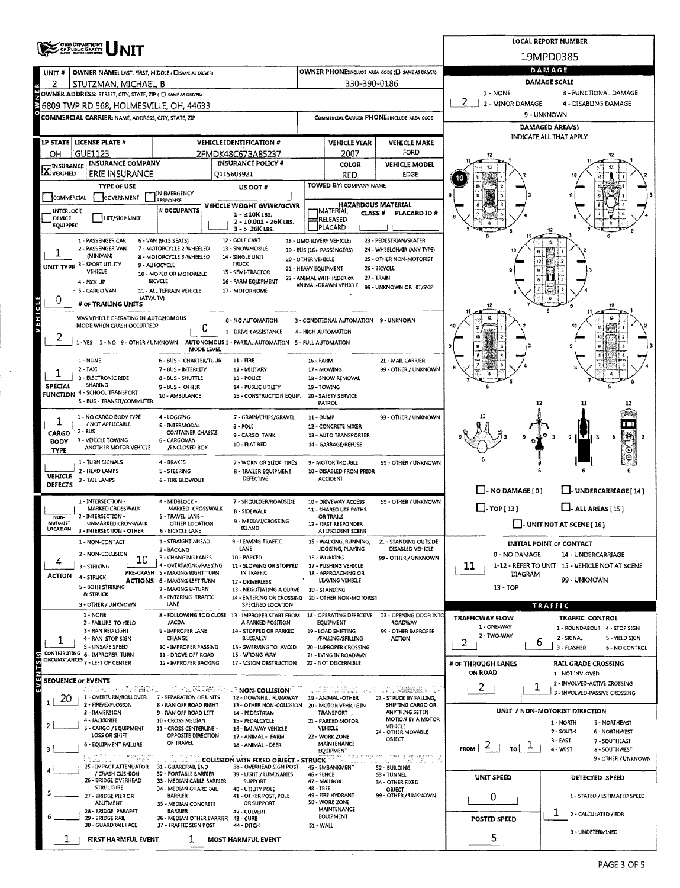|                      | <b>CHIO DEPARTMENT</b>                                                                                                                                                                                                          |                                                                        |                                                                                             |                                                           |                                                   |                                                       |                                       | <b>LOCAL REPORT NUMBER</b>                                   |  |  |  |
|----------------------|---------------------------------------------------------------------------------------------------------------------------------------------------------------------------------------------------------------------------------|------------------------------------------------------------------------|---------------------------------------------------------------------------------------------|-----------------------------------------------------------|---------------------------------------------------|-------------------------------------------------------|---------------------------------------|--------------------------------------------------------------|--|--|--|
|                      |                                                                                                                                                                                                                                 |                                                                        |                                                                                             |                                                           |                                                   |                                                       |                                       | 19MPD0385                                                    |  |  |  |
| UNIT #               | OWNER NAME: LAST, FIRST, MIDDLE (CI SAME AS DRIVER)                                                                                                                                                                             |                                                                        | OWNER PHONE:INCLUDE AREA CODE (E) SAME AS DAIVERY                                           | DAMAGE                                                    |                                                   |                                                       |                                       |                                                              |  |  |  |
|                      |                                                                                                                                                                                                                                 |                                                                        | 330-390-0186                                                                                | <b>DAMAGE SCALE</b>                                       |                                                   |                                                       |                                       |                                                              |  |  |  |
|                      |                                                                                                                                                                                                                                 |                                                                        |                                                                                             | 1 - NONE<br>3 - FUNCTIONAL DAMAGE<br>4 - DISABLING DAMAGE |                                                   |                                                       |                                       |                                                              |  |  |  |
|                      | 2 STUTZMAN, MICHAEL, B<br>COWNER ADDRESS: STREET, CITY, STATE, ZIP ( E) SAMEAS DANER<br>3 6809 TWP RD 568, HOLMESVILLE, OH, 4463<br>3 COMMERCIAL GARRIER: NAME ADDRES CITY STATE TIP<br>6809 TWP RD 568, HOLMESVILLE, OH, 44633 |                                                                        |                                                                                             | 2 - MINOR DAMAGE<br>9 - UNKNOWN                           |                                                   |                                                       |                                       |                                                              |  |  |  |
|                      | COMMERCIAL CARRIER: NAME, ADDRESS, CITY, STATE, ZIP                                                                                                                                                                             |                                                                        |                                                                                             |                                                           |                                                   | COMMERCIAL CARRIER PHONE: INCLUDE AREA CODE           |                                       | DAMAGED AREA(S)                                              |  |  |  |
|                      |                                                                                                                                                                                                                                 |                                                                        |                                                                                             |                                                           |                                                   |                                                       |                                       | <b>INDICATE ALL THAT APPLY</b>                               |  |  |  |
|                      | LP STATE   LICENSE PLATE #<br>GUE1123 <sup>'</sup>                                                                                                                                                                              |                                                                        | <b>VEHICLE IDENTIFICATION #</b><br>2FMDK48C67BA85237                                        |                                                           | <b>VEHICLE YEAR</b><br>2007                       | <b>VEHICLE MAKE</b><br>FORD                           |                                       |                                                              |  |  |  |
| OН                   | <b>INSURANCE COMPANY</b>                                                                                                                                                                                                        |                                                                        | <b>INSURANCE POLICY #</b>                                                                   |                                                           | COLOR                                             | <b>VEHICLE MODEL</b>                                  |                                       |                                                              |  |  |  |
| <b>X</b> INSURANCE   | ERIE INSURANCE                                                                                                                                                                                                                  |                                                                        | 0115603921                                                                                  |                                                           | <b>RED</b>                                        | <b>EDGE</b>                                           |                                       |                                                              |  |  |  |
|                      | <b>TYPE OF USE</b>                                                                                                                                                                                                              | IN EMERGENCY                                                           | US DOT #                                                                                    |                                                           | TOWED BY: COMPANY NAME                            |                                                       |                                       |                                                              |  |  |  |
| COMMERCIAL           | GOVERNMENT                                                                                                                                                                                                                      | <b>RESPONSE</b>                                                        | <b>VEHICLE WEIGHT GVWR/GCWR</b>                                                             |                                                           | <b>HAZARDOUS MATERIAL</b>                         |                                                       |                                       |                                                              |  |  |  |
| INTERLOCK<br>DEVICE  | <b>HIT/SKIP UNIT</b>                                                                                                                                                                                                            | # OCCUPANTS                                                            | $1 - 510K$ LBS,                                                                             |                                                           | MATERIAL<br>CLASS <sup>#</sup><br>RELEASED        | PLACARD ID#                                           |                                       |                                                              |  |  |  |
| EQUIPPED             |                                                                                                                                                                                                                                 |                                                                        | 2 - 10.001 - 26K LBS.<br>$3 - 26K$ LBS.                                                     |                                                           | PLACARD                                           |                                                       |                                       |                                                              |  |  |  |
|                      | 1 - PASSENGER CAR                                                                                                                                                                                                               | 6 - VAN (9-15 SEATS)                                                   | 12 - GOLF CART                                                                              |                                                           | 18 - LIMO (LIVERY VEHICLE)                        | 23 - PEDESTRIAN/SKATER                                |                                       |                                                              |  |  |  |
|                      | 2 - PASSENGER VAN<br>(MINIVAN)                                                                                                                                                                                                  | 7 - MOTORCYCLE 2-WHEELED<br>8 - MOTORCYCLE 3-WHEELED                   | 13 - SNOWMO8ILE<br>14 - SINGLE UNIT                                                         |                                                           | 19 - BUS (16+ PASSENGERS)                         | 24 - WHEELCHAIR (ANY TYPE)<br>25 - OTHER NON-MOTORIST | 10                                    |                                                              |  |  |  |
|                      | UNIT TYPE 3-SPORT UTILITY<br>VEHICLE                                                                                                                                                                                            | 9 - AUTOCYCLE                                                          | TRUCK<br>15 - SEMI-TRACTOR                                                                  | 20 - OTHER VEHICLE                                        | 21 - HEAVY EQUIPMENT                              | 26 - BICYCLE                                          |                                       |                                                              |  |  |  |
|                      | 4 - PICK UP                                                                                                                                                                                                                     | 10 - MOPED OR MOTORIZED<br><b>BICYCLE</b>                              | 16 - FARM EQUIPMENT                                                                         |                                                           | 22 - ANIMAL WITH RIDER OR<br>ANIMAL-DRAWN VEHICLE | 27 - TRAIN                                            |                                       |                                                              |  |  |  |
|                      | - 5 - CARGO VAN<br><b>(ATV/UTV)</b>                                                                                                                                                                                             | 11 - ALL TERRAIN VEHICLE                                               | 17 - MOTORHOME                                                                              |                                                           |                                                   | 99 - UNKNOWN OR HIT/SKIP                              |                                       |                                                              |  |  |  |
| 0                    | # OF TRAILING UNITS                                                                                                                                                                                                             |                                                                        |                                                                                             |                                                           |                                                   |                                                       | 12                                    | 12                                                           |  |  |  |
| VEHICLE              | WAS VEHICLE OPERATING IN AUTONOMOUS                                                                                                                                                                                             |                                                                        | 0 - NO AUTOMATION                                                                           |                                                           | 3 - CONDITIONAL AUTOMATION 9 - UNKNOWN            |                                                       |                                       |                                                              |  |  |  |
|                      | MODE WHEN CRASH OCCURRED?                                                                                                                                                                                                       | 0                                                                      | 1 - ORIVER ASSISTANCE                                                                       |                                                           | 4 - HIGH AUTOMATION                               |                                                       | 40                                    |                                                              |  |  |  |
|                      | 1-YES 2-NO 9-OTHER/UNKNOWN                                                                                                                                                                                                      | MODE LEVEL                                                             | AUTONOMOUS 2 - PARTIAL AUTOMATION 5 - FULL AUTOMATION                                       |                                                           |                                                   |                                                       |                                       |                                                              |  |  |  |
|                      | 1 - NONE                                                                                                                                                                                                                        | 6 - BUS - CHARTER/TOUR                                                 | $11 - FIRE$                                                                                 | 16 - FARM                                                 |                                                   | 21 - MAIL CARRIER                                     |                                       |                                                              |  |  |  |
|                      | $2 - TAXI$                                                                                                                                                                                                                      | 7 - BUS - INTERCITY                                                    | 12 - MILITARY                                                                               |                                                           | 17 - MOWING                                       | 99 - OTHER / UNKNOWN                                  |                                       |                                                              |  |  |  |
| SPECIAL              | 3 - ELECTRONIC RIDE<br>SHARING                                                                                                                                                                                                  | 8 - BUS - SHUTTLE<br>9-BUS-OTHER                                       | 13 - POLICE<br>14 - PUBLIC UTILITY                                                          |                                                           | 18 - SNOW REMOVAL<br>19 - TOWING                  |                                                       |                                       |                                                              |  |  |  |
| FUNCTION             | 4 - SCHOOL TRANSPORT<br>5 - BUS - TRANSIT/COMMUTER                                                                                                                                                                              | 10 - AMBULANCE                                                         | 15 - CONSTRUCTION EQUIP.                                                                    |                                                           | 20 - SAFETY SERVICE                               |                                                       |                                       |                                                              |  |  |  |
|                      |                                                                                                                                                                                                                                 |                                                                        |                                                                                             |                                                           | <b>PATROL</b>                                     |                                                       |                                       | 12                                                           |  |  |  |
| 1                    | 1 - NO CARGO BODY TYPE<br>/ NOT APPLICABLE                                                                                                                                                                                      | 4 - LOGGING<br>S - INTERMODAL                                          | 7 - GRAIN/CHIPS/GRAVEL<br><b>B-POLE</b>                                                     | 11 - DUMP                                                 | 12 - CONCRETE MIXER                               | 99 - OTHER / UNKNOWN                                  |                                       |                                                              |  |  |  |
| CARGO                | 2 - BUS                                                                                                                                                                                                                         | CONTAINER CHASSIS                                                      | 9 - CARGO TANK                                                                              |                                                           | 13 - AUTO TRANSPORTER                             |                                                       |                                       | 黪<br>з<br>9<br>нт<br>ð                                       |  |  |  |
| BODY<br><b>TYPE</b>  | 3 - VEHICLE TOWING<br>ANOTHER MOTOR VEHICLE                                                                                                                                                                                     | 6 - CARGOVAN<br>/ENCLOSED BOX                                          | 10 - FLAT BED                                                                               |                                                           | 14 - GARBAGE/REFUSE                               |                                                       |                                       | ۷                                                            |  |  |  |
|                      | 1 - TURN SIGNALS                                                                                                                                                                                                                | 4 - BRAKES                                                             | 7 - WORN OR SLICK TIRES                                                                     |                                                           | 9 - MOTOR TROUBLE                                 | 99 - OTHER / UNKNOWN                                  |                                       | Θ                                                            |  |  |  |
| <b>VEHICLE</b>       | 2 - HEAD LAMPS<br>3 - TAIL LAMPS                                                                                                                                                                                                | 5 - STEERING<br><b>6 - TIRE BLOWOUT</b>                                | 8 - TRAILER EQUIPMENT<br><b>DEFECTIVE</b>                                                   |                                                           | 10 - DISABLED FROM PRIOR<br><b>ACCIDENT</b>       |                                                       |                                       |                                                              |  |  |  |
| DEFECTS              |                                                                                                                                                                                                                                 |                                                                        |                                                                                             |                                                           |                                                   |                                                       | $\Box$ - NO DAMAGE [0]                | J- UNDERCARRIAGE [14]                                        |  |  |  |
|                      | 1 - INTERSECTION -                                                                                                                                                                                                              | 4 - MIDBLOCK -                                                         | 7 - SHOULDER/ROADSIDE                                                                       |                                                           | 10 - DRIVEWAY ACCESS                              | 99 - OTHER / UNKNOWN                                  |                                       |                                                              |  |  |  |
| NON-                 | MARKED CROSSWALK<br>2 - INTERSECTION -                                                                                                                                                                                          | MARKED CROSSWALK<br>5 - TRAVEL LANE -                                  | <b>B-SIDEWALK</b>                                                                           |                                                           | 11 - SHARED USE PATHS<br>OR TRAILS                |                                                       | $\Box$ -TOP[13]                       | $\Box$ - ALL AREAS [15]                                      |  |  |  |
| MOTORIST<br>LOCATION | <b>UNMARKED CROSSWALK</b><br>3 - INTERSECTION - OTHER                                                                                                                                                                           | OTHER LOCATION<br><b>6 - BICYCLE LANE</b>                              | 9 - MEDIAN/CROSSING<br><b>ISLAND</b>                                                        |                                                           | 12 - FIRST RESPONDER<br>AT INCIDENT SCENE         |                                                       |                                       | $\Box$ - UNIT NOT AT SCENE [ 16 ]                            |  |  |  |
|                      | 1 - NON-CONTACT                                                                                                                                                                                                                 | 1 - STRAIGHT AHEAD                                                     | 9 - LEAVING TRAFFIC                                                                         |                                                           | 15 - WALKING, RUNNING,                            | 21 - STANDING OUTSIDE                                 |                                       | <b>INITIAL POINT OF CONTACT</b>                              |  |  |  |
|                      | 2 - NON-COLLISION                                                                                                                                                                                                               | 2 - BACKING<br>3 - CHANGING LANES                                      | LANE<br>10 - PARKED                                                                         |                                                           | JOGGING, PLAYING<br>16 - WORKING                  | <b>DISABLED VEHICLE</b><br>99 - OTHER / UNKNOWN       | 0 - NO DAMAGE                         | 14 - UNDERCARRIAGE                                           |  |  |  |
| 4                    | 10<br>3 - STRIKING                                                                                                                                                                                                              | 4 - OVERTAKING/PASSING                                                 | 11 - SLOWING OR STOPPED                                                                     |                                                           | 17 - PUSHING VEHICLE                              |                                                       | 11                                    | 1-12 - REFER TO UNIT 15 - VEHICLE NOT AT SCENE               |  |  |  |
| ACTION               | 4 - STRUCK                                                                                                                                                                                                                      | PRE-CRASH 5 - MAKING RIGHT TURN<br><b>ACTIONS 6 - MAKING LEFT TURN</b> | IN TRAFFIC<br>12 - DRIVERLESS                                                               |                                                           | 18 - APPROACHING OR<br>LEAVING VEHICLE            |                                                       | DIAGRAM                               | 99 - UNKNOWN                                                 |  |  |  |
|                      | 5 - BOTH STRIKING<br>& STRUCK                                                                                                                                                                                                   | 7 - MAKING U-TURN<br>8 - ENTERING TRAFFIC                              | 13 - NEGOTIATING A CURVE 19 - STANDING<br>14 - ENTERING OR CROSSING 20 - OTHER NON-MOTORIST |                                                           |                                                   |                                                       | $13 - TOP$                            |                                                              |  |  |  |
|                      | 9 - OTHER / UNKNOWN                                                                                                                                                                                                             | LANE                                                                   | SPECIFIED LOCATION                                                                          |                                                           |                                                   |                                                       |                                       | TRAFFIC                                                      |  |  |  |
|                      | 1 - NONE<br>2 - FAILURE TO YIELD                                                                                                                                                                                                | /ACDA                                                                  | 8 - FOLLOWING TOO CLOSE 13 - IMPROPER START FROM<br>A PARKED POSITION                       |                                                           | 18 - OPERATING DEFECTIVE<br>EQUIPMENT             | 23 - OPENING DOOR INTO<br>ROADWAY                     | <b>TRAFFICWAY FLOW</b>                | TRAFFIC CONTROL                                              |  |  |  |
|                      | 3 - RAN RED LIGHT                                                                                                                                                                                                               | 9 - IMPROPER LANE                                                      | 14 - STOPPED OR PARKED                                                                      |                                                           | 19 - LOAD SHIFTING                                | 99 - OTHER IMPROPER                                   | 1 - ONE-WAY<br>2 - TWO-WAY            | 1 - ROUNDABOUT 4 - STOP SIGN<br>2 - SIGNAL<br>5 - YIELD SIGN |  |  |  |
| ı                    | 4 - RAN STOP SIGN<br>5 - UNSAFE SPEED                                                                                                                                                                                           | CHANGE<br>10 - IMPROPER PASSING                                        | ILLEGALLY<br>15 - SWERVING TO AVOID                                                         |                                                           | /FALLING/SPILLING<br>20 - IMPROPER CROSSING       | ACTION                                                | 2                                     | ь<br>3 - FLASHER<br>6 - NO CONTROL                           |  |  |  |
|                      | CONTRIBUTING 6 - IMPROPER TURN<br>GROUMSTANCES 7 - LEFT OF CENTER                                                                                                                                                               | 11 - DROVE OFF ROAD<br>12 - IMPROPER BACKING                           | 16 - WRONG WAY<br>17 - VISION OBSTRUCTION                                                   |                                                           | 21 - LYING IN ROADWAY<br>22 - NOT DISCERNIBLE     |                                                       |                                       |                                                              |  |  |  |
| <b>SABALS</b>        |                                                                                                                                                                                                                                 |                                                                        |                                                                                             |                                                           |                                                   |                                                       | # of THROUGH LANES<br><b>ON ROAD</b>  | <b>RAIL GRADE CROSSING</b><br>1 - NOT INVLOVED               |  |  |  |
|                      | SEOUENCE OF EVENTS<br>1.아닌 일반 세, 선부가요                                                                                                                                                                                           |                                                                        | <b>THE METHOD IN NON-COLLISION</b>                                                          |                                                           |                                                   |                                                       | 2                                     | 2 - INVOLVED-ACTIVE CROSSING                                 |  |  |  |
| 20                   | 1 - OVERTURN/ROLLOVER                                                                                                                                                                                                           | 7 - SEPARATION OF UNITS                                                | 12 - DOWNHILL RUNAWAY                                                                       |                                                           | LA MARI<br>19 - ANIMAL -OTHER                     | SCORES PROPERTY<br>23 - STRUCK BY FALUNG.             |                                       | 3 - INVOLVED-PASSIVE CROSSING                                |  |  |  |
|                      | 2 - FIRE/EXPLOSION<br>3 - IMMERSION                                                                                                                                                                                             | 8 - RAN OFF ROAD RIGHT<br>9 - RAN OFF ROAD LEFT                        | 13 - OTHER NON-COLLISION<br>14 - PEDESTRIAN                                                 |                                                           | 20 - MOTOR VEHICLE IN<br>TRANSPORT,               | SHIFTING CARGO OR<br>ANYTHING SET IN                  |                                       | UNIT / NON-MOTORIST DIRECTION                                |  |  |  |
|                      | 4 - JACKKNIFE<br>5 - CARGO / EQUIPMENT                                                                                                                                                                                          | 10 - CROSS MEDIAN<br>11 - CROSS CENTERLINE -                           | 15 - PEDALCYCLE<br>16 - RAILWAY VEHICLE                                                     |                                                           | 21 - PARKED MOTOR<br><b>VEHICLE</b>               | MOTION BY A MOTOR<br><b>VEHICLE</b>                   |                                       | 1 - NORTH<br>5 - NORTHEAST                                   |  |  |  |
|                      | LOSS OR SHIFT                                                                                                                                                                                                                   | OPPOSITE DIRECTION                                                     | 17 - ANIMAL - FARM                                                                          |                                                           | 22 - WORK ZONE                                    | 24 - OTHER MOVABLE<br>OBJECT                          |                                       | 2 - SOUTH<br>6 - NORTHWEST<br>3 - EAST<br>7 - SOUTHEAST      |  |  |  |
|                      | 6 - EQUIPMENT FAILURE                                                                                                                                                                                                           | OF TRAVEL                                                              | 18 - ANIMAL - DEER                                                                          |                                                           | MAINTENANCE<br>EQUIPMENT                          |                                                       | FROM $ 2 $<br>$\mathsf{no} \lfloor~1$ | 4 - WEST<br>8 - SOUTHWEST                                    |  |  |  |
|                      | and in the se<br>Talas nom<br>25 - IMPACT ATTENUATOR                                                                                                                                                                            | 31 - GUARDRAIL END                                                     | <b>COLLISION WITH FIXED OBJECT - STRUCK</b><br>38 - OVERHEAD SIGN POST                      |                                                           |                                                   | accentation of the contribution of the con-           |                                       | 9 - OTHER / UNKNOWN                                          |  |  |  |
|                      | / CRASH CUSHION                                                                                                                                                                                                                 | 32 - PORTABLE BARRIER                                                  | 39 - UGHT / LUMINARIES                                                                      | 46 - FENCE                                                | 45 - EMBANKMENT                                   | 52 - BUILDING<br>53 - TUNNEL                          | <b>UNIT SPEED</b>                     | DETECTED SPEED                                               |  |  |  |
|                      | 26 - BRIDGE OVERHEAD<br><b>STRUCTURE</b>                                                                                                                                                                                        | 33 - MEDIAN CABLE BARRIER<br>34 - MEDIAN GUARDRAIL                     | <b>SUPPORT</b><br>40 - UTILITY POLE                                                         | 48 - TREE                                                 | 47 - MAILBOX                                      | 54 - OTHER FIXED<br>OBJECT                            |                                       |                                                              |  |  |  |
|                      | 27 - BRIDGE PIER OR<br><b>ABUTMENT</b>                                                                                                                                                                                          | <b>BARRIER</b><br>35 - MEDIAN CONCRETE                                 | 41 - OTHER POST, POLE<br>OR SUPPORT                                                         |                                                           | 49 - FIRE HYDRANT<br>50 - WORK ZONE               | 99 - OTHER / UNKNOWN                                  | 0                                     | 1 - STATED / ESTIMATED SPEED                                 |  |  |  |
|                      | 28 - BRIDGE PARAPET                                                                                                                                                                                                             | BARRIER                                                                | 42 - CULVERT                                                                                |                                                           | MAINTENANCE<br>EQUIPMENT                          |                                                       |                                       | T.<br>  2 - CALCULATED / EDR                                 |  |  |  |
|                      | 29 - BRIDGE RAIL<br>30 - GUARDRAIL FACE                                                                                                                                                                                         | 36 - MEDIAN OTHER BARRIER<br>37 - TRAFFIC SIGN POST                    | 43 - CURB<br>44 - DITCH                                                                     | 51 - WALL                                                 |                                                   |                                                       | POSTED SPEED                          |                                                              |  |  |  |
|                      | FIRST HARMFUL EVENT                                                                                                                                                                                                             | ı                                                                      | <b>MOST HARMFUL EVENT</b>                                                                   |                                                           |                                                   |                                                       | 5                                     | 3 - UNDETERMINED                                             |  |  |  |